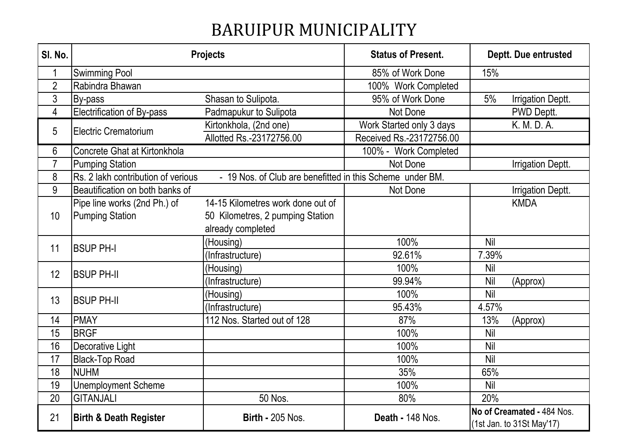## BARUIPUR MUNICIPALITY

| SI. No.        | <b>Projects</b>                                                                                 |                                   | <b>Status of Present.</b> | Deptt. Due entrusted       |  |  |
|----------------|-------------------------------------------------------------------------------------------------|-----------------------------------|---------------------------|----------------------------|--|--|
|                | <b>Swimming Pool</b>                                                                            |                                   | 85% of Work Done          | 15%                        |  |  |
| $\overline{2}$ | Rabindra Bhawan                                                                                 |                                   | 100% Work Completed       |                            |  |  |
| 3              | By-pass                                                                                         | Shasan to Sulipota.               | 95% of Work Done          | 5%<br>Irrigation Deptt.    |  |  |
| $\overline{4}$ | Electrification of By-pass                                                                      | Padmapukur to Sulipota            | Not Done                  | PWD Deptt.                 |  |  |
| 5              | <b>Electric Crematorium</b>                                                                     | Kirtonkhola, (2nd one)            | Work Started only 3 days  | K. M. D. A.                |  |  |
|                |                                                                                                 | Allotted Rs.-23172756.00          | Received Rs.-23172756.00  |                            |  |  |
| 6              | Concrete Ghat at Kirtonkhola                                                                    |                                   | 100% - Work Completed     |                            |  |  |
| $\overline{7}$ | <b>Pumping Station</b>                                                                          |                                   | Not Done                  | <b>Irrigation Deptt.</b>   |  |  |
| 8              | Rs. 2 lakh contribution of verious<br>- 19 Nos. of Club are benefitted in this Scheme under BM. |                                   |                           |                            |  |  |
| 9              | Beautification on both banks of                                                                 |                                   | Not Done                  | <b>Irrigation Deptt.</b>   |  |  |
|                | Pipe line works (2nd Ph.) of                                                                    | 14-15 Kilometres work done out of |                           | <b>KMDA</b>                |  |  |
| 10             | <b>Pumping Station</b>                                                                          | 50 Kilometres, 2 pumping Station  |                           |                            |  |  |
|                |                                                                                                 | already completed                 |                           |                            |  |  |
| 11             | <b>BSUP PH-I</b>                                                                                | (Housing)                         | 100%                      | Nil                        |  |  |
|                |                                                                                                 | (Infrastructure)                  | 92.61%                    | 7.39%                      |  |  |
| 12             | <b>BSUP PH-II</b>                                                                               | (Housing)                         | 100%                      | Nil                        |  |  |
|                |                                                                                                 | (Infrastructure)                  | 99.94%                    | Nil<br>(Approx)            |  |  |
| 13             | <b>BSUP PH-II</b>                                                                               | (Housing)                         | 100%                      | Nil                        |  |  |
|                |                                                                                                 | (Infrastructure)                  | 95.43%                    | 4.57%                      |  |  |
| 14             | <b>PMAY</b>                                                                                     | 112 Nos. Started out of 128       | 87%                       | 13%<br>(Approx)            |  |  |
| 15             | <b>BRGF</b>                                                                                     |                                   | 100%                      | Nil                        |  |  |
| 16             | Decorative Light                                                                                |                                   | 100%                      | Nil                        |  |  |
| 17             | <b>Black-Top Road</b>                                                                           |                                   | 100%                      | Nil                        |  |  |
| 18             | <b>NUHM</b>                                                                                     |                                   | 35%                       | 65%                        |  |  |
| 19             | <b>Unemployment Scheme</b>                                                                      |                                   | 100%                      | Nil                        |  |  |
| 20             | <b>GITANJALI</b>                                                                                | 50 Nos.                           | 80%                       | 20%                        |  |  |
| 21             | <b>Birth &amp; Death Register</b>                                                               | <b>Birth - 205 Nos.</b>           | Death - 148 Nos.          | No of Creamated - 484 Nos. |  |  |
|                |                                                                                                 |                                   |                           | (1st Jan. to 31St May'17)  |  |  |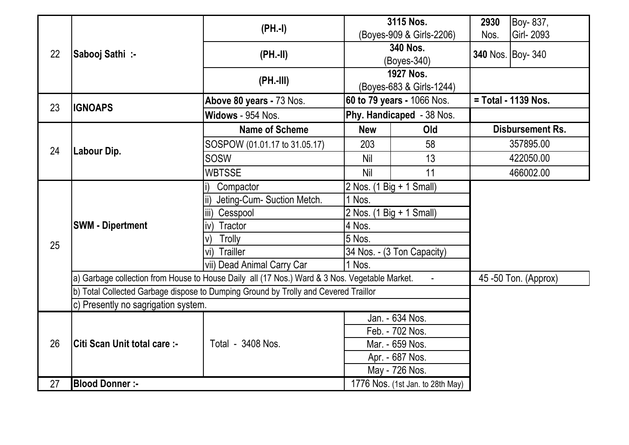| 22 | Sabooj Sathi:-                                                                                | $(PH.-I)$                                              | 3115 Nos.                  |                                  | 2930 | Boy-837,                |
|----|-----------------------------------------------------------------------------------------------|--------------------------------------------------------|----------------------------|----------------------------------|------|-------------------------|
|    |                                                                                               |                                                        | (Boyes-909 & Girls-2206)   |                                  | Nos. | Girl- 2093              |
|    |                                                                                               | $(PH.-II)$                                             | 340 Nos.<br>(Boyes-340)    |                                  |      | 340 Nos. Boy-340        |
|    |                                                                                               | $(PH.-III)$                                            |                            | <b>1927 Nos.</b>                 |      |                         |
|    |                                                                                               |                                                        |                            | (Boyes-683 & Girls-1244)         |      |                         |
| 23 | <b>IGNOAPS</b>                                                                                | 60 to 79 years - 1066 Nos.<br>Above 80 years - 73 Nos. |                            |                                  |      | = Total - 1139 Nos.     |
|    |                                                                                               | Widows - 954 Nos.                                      |                            | Phy. Handicaped - 38 Nos.        |      |                         |
|    | Labour Dip.                                                                                   | <b>Name of Scheme</b>                                  | <b>New</b>                 | Old                              |      | <b>Disbursement Rs.</b> |
| 24 |                                                                                               | SOSPOW (01.01.17 to 31.05.17)                          | 203                        | 58                               |      | 357895.00               |
|    |                                                                                               | <b>SOSW</b>                                            | Nil                        | 13                               |      | 422050.00               |
|    |                                                                                               | <b>WBTSSE</b>                                          | Nil                        | 11                               |      | 466002.00               |
|    | <b>SWM - Dipertment</b>                                                                       | Compactor                                              |                            | 2 Nos. (1 Big + 1 Small)         |      |                         |
|    |                                                                                               | Jeting-Cum- Suction Metch.                             | 1 Nos.                     |                                  |      |                         |
|    |                                                                                               | iii) Cesspool                                          |                            | 2 Nos. (1 Big + 1 Small)         |      |                         |
|    |                                                                                               | Tractor<br>iv)                                         | 4 Nos.                     |                                  |      |                         |
| 25 |                                                                                               | <b>Trolly</b>                                          | 5 Nos.                     |                                  |      |                         |
|    |                                                                                               | <b>Trailler</b><br>vi)                                 | 34 Nos. - (3 Ton Capacity) |                                  |      |                         |
|    |                                                                                               | vii) Dead Animal Carry Car                             | 1 Nos.                     |                                  |      |                         |
|    | a) Garbage collection from House to House Daily all (17 Nos.) Ward & 3 Nos. Vegetable Market. |                                                        |                            |                                  |      | 45 -50 Ton. (Approx)    |
|    | b) Total Collected Garbage dispose to Dumping Ground by Trolly and Cevered Traillor           |                                                        |                            |                                  |      |                         |
|    | c) Presently no sagrigation system.                                                           |                                                        |                            |                                  |      |                         |
|    | lCiti Scan Unit total care :-                                                                 |                                                        |                            | Jan. - 634 Nos.                  |      |                         |
|    |                                                                                               | Total - 3408 Nos.                                      | Feb. - 702 Nos.            |                                  |      |                         |
| 26 |                                                                                               |                                                        | Mar. - 659 Nos.            |                                  |      |                         |
|    |                                                                                               |                                                        | Apr. - 687 Nos.            |                                  |      |                         |
|    |                                                                                               |                                                        | May - 726 Nos.             |                                  |      |                         |
| 27 | <b>Blood Donner :-</b>                                                                        |                                                        |                            | 1776 Nos. (1st Jan. to 28th May) |      |                         |